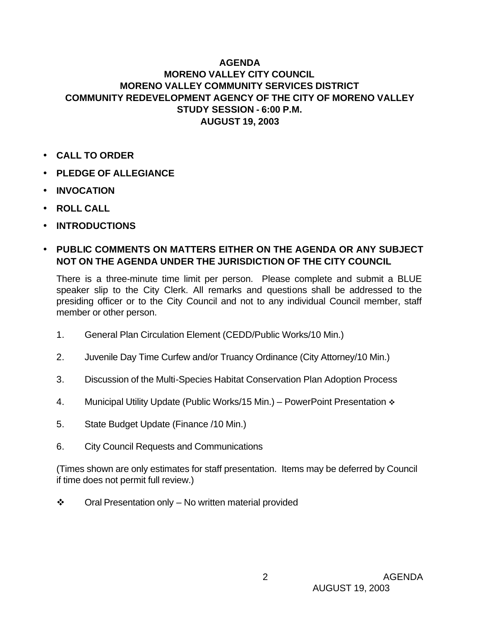## **AGENDA MORENO VALLEY CITY COUNCIL MORENO VALLEY COMMUNITY SERVICES DISTRICT COMMUNITY REDEVELOPMENT AGENCY OF THE CITY OF MORENO VALLEY STUDY SESSION - 6:00 P.M. AUGUST 19, 2003**

- **CALL TO ORDER**
- **PLEDGE OF ALLEGIANCE**
- **INVOCATION**
- **ROLL CALL**
- **INTRODUCTIONS**

## • **PUBLIC COMMENTS ON MATTERS EITHER ON THE AGENDA OR ANY SUBJECT NOT ON THE AGENDA UNDER THE JURISDICTION OF THE CITY COUNCIL**

There is a three-minute time limit per person. Please complete and submit a BLUE speaker slip to the City Clerk. All remarks and questions shall be addressed to the presiding officer or to the City Council and not to any individual Council member, staff member or other person.

- 1. General Plan Circulation Element (CEDD/Public Works/10 Min.)
- 2. Juvenile Day Time Curfew and/or Truancy Ordinance (City Attorney/10 Min.)
- 3. Discussion of the Multi-Species Habitat Conservation Plan Adoption Process
- 4. Municipal Utility Update (Public Works/15 Min.) PowerPoint Presentation  $\cdot \cdot$
- 5. State Budget Update (Finance /10 Min.)
- 6. City Council Requests and Communications

(Times shown are only estimates for staff presentation. Items may be deferred by Council if time does not permit full review.)

 $\div$  Oral Presentation only – No written material provided